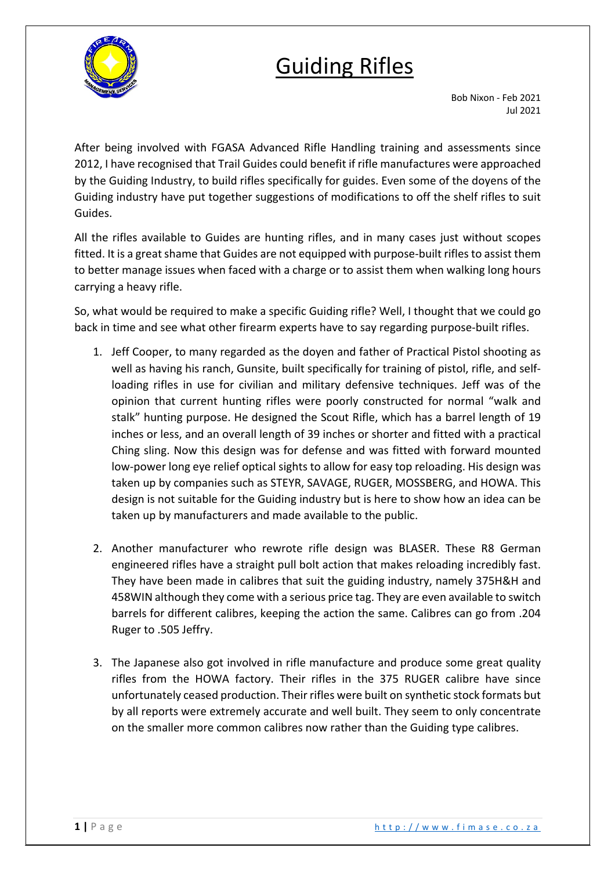

## Guiding Rifles

Bob Nixon - Feb 2021 Jul 2021

After being involved with FGASA Advanced Rifle Handling training and assessments since 2012, I have recognised that Trail Guides could benefit if rifle manufactures were approached by the Guiding Industry, to build rifles specifically for guides. Even some of the doyens of the Guiding industry have put together suggestions of modifications to off the shelf rifles to suit Guides.

All the rifles available to Guides are hunting rifles, and in many cases just without scopes fitted. It is a great shame that Guides are not equipped with purpose-built rifles to assist them to better manage issues when faced with a charge or to assist them when walking long hours carrying a heavy rifle.

So, what would be required to make a specific Guiding rifle? Well, I thought that we could go back in time and see what other firearm experts have to say regarding purpose-built rifles.

- 1. Jeff Cooper, to many regarded as the doyen and father of Practical Pistol shooting as well as having his ranch, Gunsite, built specifically for training of pistol, rifle, and selfloading rifles in use for civilian and military defensive techniques. Jeff was of the opinion that current hunting rifles were poorly constructed for normal "walk and stalk" hunting purpose. He designed the Scout Rifle, which has a barrel length of 19 inches or less, and an overall length of 39 inches or shorter and fitted with a practical Ching sling. Now this design was for defense and was fitted with forward mounted low-power long eye relief optical sights to allow for easy top reloading. His design was taken up by companies such as STEYR, SAVAGE, RUGER, MOSSBERG, and HOWA. This design is not suitable for the Guiding industry but is here to show how an idea can be taken up by manufacturers and made available to the public.
- 2. Another manufacturer who rewrote rifle design was BLASER. These R8 German engineered rifles have a straight pull bolt action that makes reloading incredibly fast. They have been made in calibres that suit the guiding industry, namely 375H&H and 458WIN although they come with a serious price tag. They are even available to switch barrels for different calibres, keeping the action the same. Calibres can go from .204 Ruger to .505 Jeffry.
- 3. The Japanese also got involved in rifle manufacture and produce some great quality rifles from the HOWA factory. Their rifles in the 375 RUGER calibre have since unfortunately ceased production. Their rifles were built on synthetic stock formats but by all reports were extremely accurate and well built. They seem to only concentrate on the smaller more common calibres now rather than the Guiding type calibres.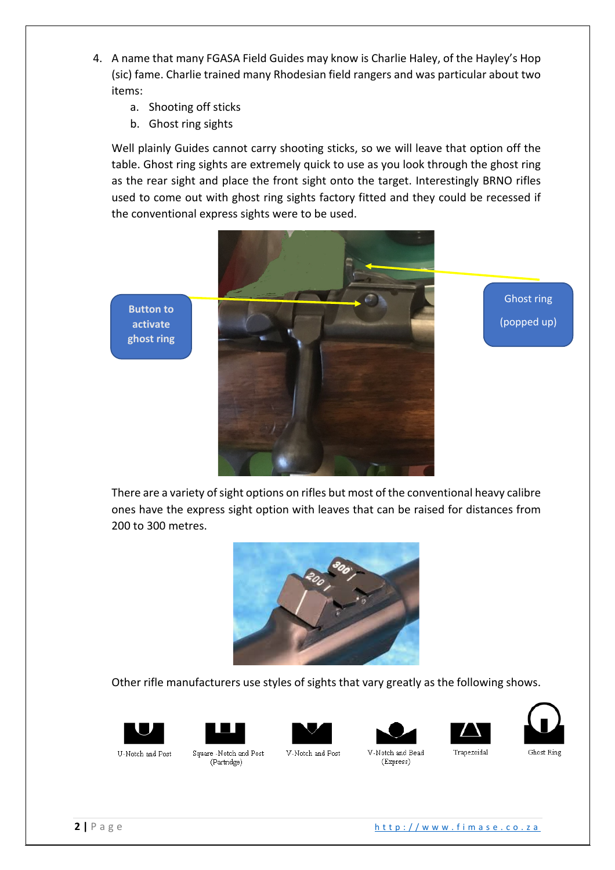- 4. A name that many FGASA Field Guides may know is Charlie Haley, of the Hayley's Hop (sic) fame. Charlie trained many Rhodesian field rangers and was particular about two items:
	- a. Shooting off sticks
	- b. Ghost ring sights

Well plainly Guides cannot carry shooting sticks, so we will leave that option off the table. Ghost ring sights are extremely quick to use as you look through the ghost ring as the rear sight and place the front sight onto the target. Interestingly BRNO rifles used to come out with ghost ring sights factory fitted and they could be recessed if the conventional express sights were to be used.





Ghost ring (popped up)

There are a variety of sight options on rifles but most of the conventional heavy calibre ones have the express sight option with leaves that can be raised for distances from 200 to 300 metres.



Other rifle manufacturers use styles of sights that vary greatly as the following shows.













U-Notch and Post

Square -Notch and Post (Partridge)

V-Notch and Post

(Express)

Ghost Ring

**2 |** Page http://www.fimase.co.za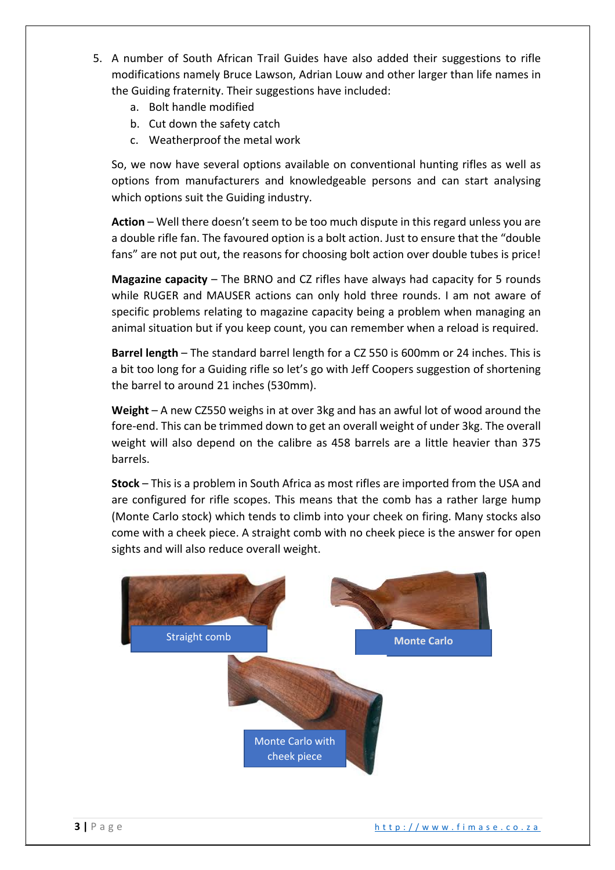- 5. A number of South African Trail Guides have also added their suggestions to rifle modifications namely Bruce Lawson, Adrian Louw and other larger than life names in the Guiding fraternity. Their suggestions have included:
	- a. Bolt handle modified
	- b. Cut down the safety catch
	- c. Weatherproof the metal work

So, we now have several options available on conventional hunting rifles as well as options from manufacturers and knowledgeable persons and can start analysing which options suit the Guiding industry.

**Action** – Well there doesn't seem to be too much dispute in this regard unless you are a double rifle fan. The favoured option is a bolt action. Just to ensure that the "double fans" are not put out, the reasons for choosing bolt action over double tubes is price!

**Magazine capacity** – The BRNO and CZ rifles have always had capacity for 5 rounds while RUGER and MAUSER actions can only hold three rounds. I am not aware of specific problems relating to magazine capacity being a problem when managing an animal situation but if you keep count, you can remember when a reload is required.

**Barrel length** – The standard barrel length for a CZ 550 is 600mm or 24 inches. This is a bit too long for a Guiding rifle so let's go with Jeff Coopers suggestion of shortening the barrel to around 21 inches (530mm).

**Weight** – A new CZ550 weighs in at over 3kg and has an awful lot of wood around the fore-end. This can be trimmed down to get an overall weight of under 3kg. The overall weight will also depend on the calibre as 458 barrels are a little heavier than 375 barrels.

**Stock** – This is a problem in South Africa as most rifles are imported from the USA and are configured for rifle scopes. This means that the comb has a rather large hump (Monte Carlo stock) which tends to climb into your cheek on firing. Many stocks also come with a cheek piece. A straight comb with no cheek piece is the answer for open sights and will also reduce overall weight.

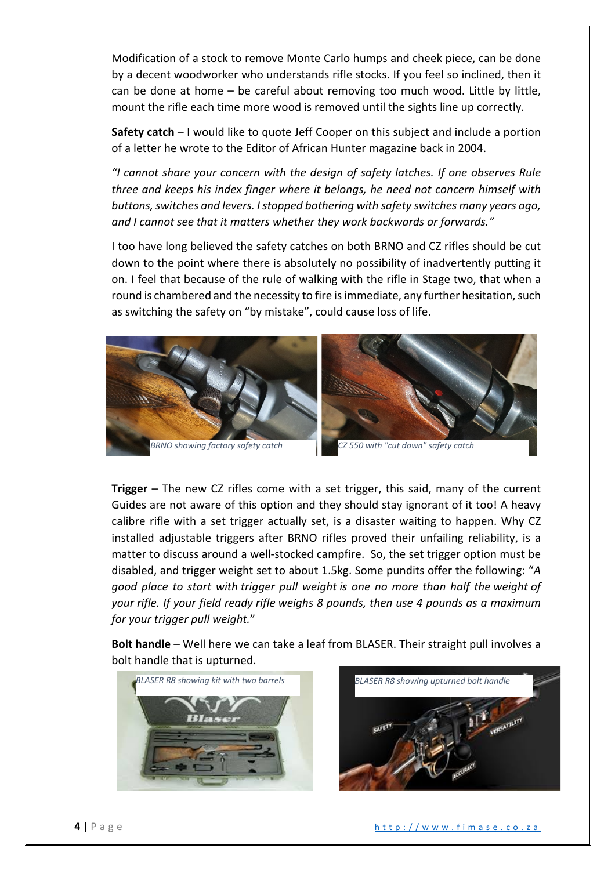Modification of a stock to remove Monte Carlo humps and cheek piece, can be done by a decent woodworker who understands rifle stocks. If you feel so inclined, then it can be done at home – be careful about removing too much wood. Little by little, mount the rifle each time more wood is removed until the sights line up correctly.

**Safety catch** – I would like to quote Jeff Cooper on this subject and include a portion of a letter he wrote to the Editor of African Hunter magazine back in 2004.

*"I cannot share your concern with the design of safety latches. If one observes Rule three and keeps his index finger where it belongs, he need not concern himself with buttons, switches and levers. I stopped bothering with safety switches many years ago, and I cannot see that it matters whether they work backwards or forwards."*

I too have long believed the safety catches on both BRNO and CZ rifles should be cut down to the point where there is absolutely no possibility of inadvertently putting it on. I feel that because of the rule of walking with the rifle in Stage two, that when a round is chambered and the necessity to fire is immediate, any further hesitation, such as switching the safety on "by mistake", could cause loss of life.





**Trigger** – The new CZ rifles come with a set trigger, this said, many of the current Guides are not aware of this option and they should stay ignorant of it too! A heavy calibre rifle with a set trigger actually set, is a disaster waiting to happen. Why CZ installed adjustable triggers after BRNO rifles proved their unfailing reliability, is a matter to discuss around a well-stocked campfire. So, the set trigger option must be disabled, and trigger weight set to about 1.5kg. Some pundits offer the following: "*A good place to start with trigger pull weight is one no more than half the weight of your rifle. If your field ready rifle weighs 8 pounds, then use 4 pounds as a maximum for your trigger pull weight.*"

**Bolt handle** – Well here we can take a leaf from BLASER. Their straight pull involves a bolt handle that is upturned.



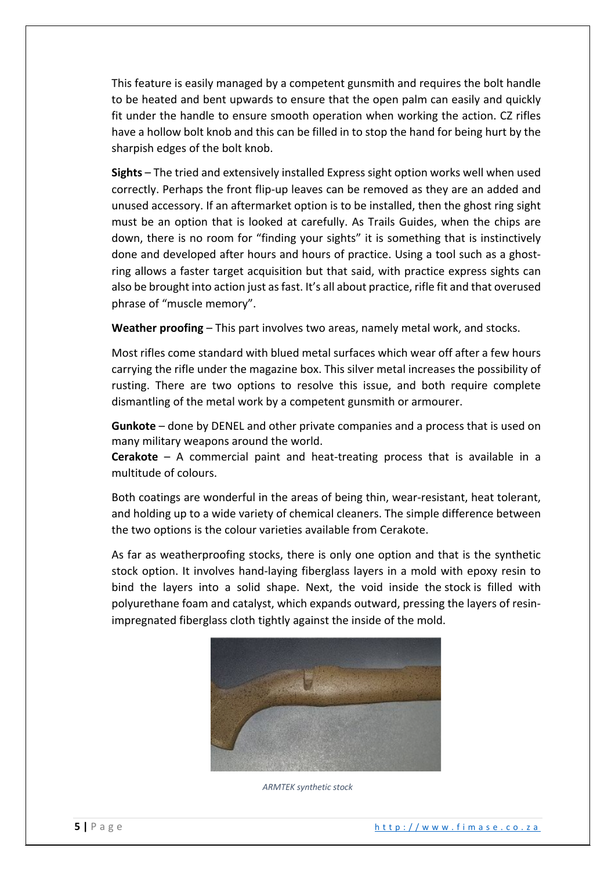This feature is easily managed by a competent gunsmith and requires the bolt handle to be heated and bent upwards to ensure that the open palm can easily and quickly fit under the handle to ensure smooth operation when working the action. CZ rifles have a hollow bolt knob and this can be filled in to stop the hand for being hurt by the sharpish edges of the bolt knob.

**Sights** – The tried and extensively installed Express sight option works well when used correctly. Perhaps the front flip-up leaves can be removed as they are an added and unused accessory. If an aftermarket option is to be installed, then the ghost ring sight must be an option that is looked at carefully. As Trails Guides, when the chips are down, there is no room for "finding your sights" it is something that is instinctively done and developed after hours and hours of practice. Using a tool such as a ghostring allows a faster target acquisition but that said, with practice express sights can also be brought into action just as fast. It's all about practice, rifle fit and that overused phrase of "muscle memory".

**Weather proofing** – This part involves two areas, namely metal work, and stocks.

Most rifles come standard with blued metal surfaces which wear off after a few hours carrying the rifle under the magazine box. This silver metal increases the possibility of rusting. There are two options to resolve this issue, and both require complete dismantling of the metal work by a competent gunsmith or armourer.

**Gunkote** – done by DENEL and other private companies and a process that is used on many military weapons around the world.

**Cerakote** – A commercial paint and heat-treating process that is available in a multitude of colours.

Both coatings are wonderful in the areas of being thin, wear-resistant, heat tolerant, and holding up to a wide variety of chemical cleaners. The simple difference between the two options is the colour varieties available from Cerakote.

As far as weatherproofing stocks, there is only one option and that is the synthetic stock option. It involves hand-laying fiberglass layers in a mold with epoxy resin to bind the layers into a solid shape. Next, the void inside the stock is filled with polyurethane foam and catalyst, which expands outward, pressing the layers of resinimpregnated fiberglass cloth tightly against the inside of the mold.



*ARMTEK synthetic stock*